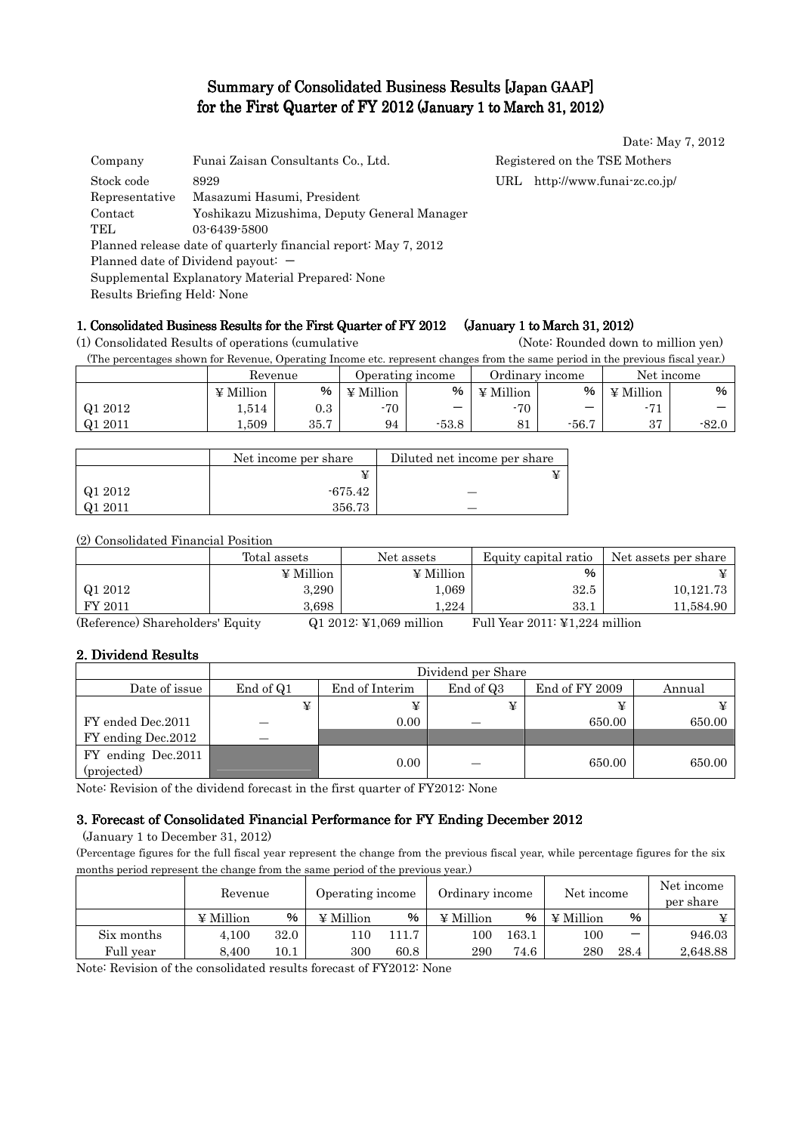# Summary of Consolidated Business Results [Japan GAAP] for the First Quarter of FY 2012 (January 1 to March 31, 2012)

| Company                                          | Funai Zaisan Consultants Co., Ltd.                              |     | Registered on the TSE Mothers |  |
|--------------------------------------------------|-----------------------------------------------------------------|-----|-------------------------------|--|
| Stock code                                       | 8929                                                            | URL | http://www.funai-zc.co.jp/    |  |
| Representative                                   | Masazumi Hasumi, President                                      |     |                               |  |
| Contact                                          | Yoshikazu Mizushima, Deputy General Manager                     |     |                               |  |
| TEL                                              | 03-6439-5800                                                    |     |                               |  |
|                                                  | Planned release date of quarterly financial report: May 7, 2012 |     |                               |  |
|                                                  | Planned date of Dividend payout: $-$                            |     |                               |  |
| Supplemental Explanatory Material Prepared: None |                                                                 |     |                               |  |
| Results Briefing Held: None                      |                                                                 |     |                               |  |

# 1. Consolidated Business Results for the First Quarter of FY 2012 (January 1 to March 31, 2012)

(1) Consolidated Results of operations (cumulative (Note: Rounded down to million yen)

(The percentages shown for Revenue, Operating Income etc. represent changes from the same period in the previous fiscal year.)

|            | Revenue          |           | Operating income |         | Ordinary income      |         | Net income       |         |
|------------|------------------|-----------|------------------|---------|----------------------|---------|------------------|---------|
|            | $\angle$ Million | %         | ¥ Million        | %       | ¥ Million            | %       | $\angle$ Million | %       |
| Q1 2012    | 1,514            | $\rm 0.3$ | -70              | –       | $-70$                |         |                  | –       |
| 2011<br>Q1 | .509             | 35.7      | 94               | $-53.8$ | O <sub>1</sub><br>ΟI | $-56.7$ | $\Omega$<br>ບ≀   | $-82.0$ |

|         | Net income per share | Diluted net income per share |
|---------|----------------------|------------------------------|
|         |                      |                              |
| Q1 2012 | -675.42              |                              |
| Q1 2011 | 356.73               |                              |

(2) Consolidated Financial Position

|              | Total assets | Net assets       | Equity capital ratio | Net assets per share |
|--------------|--------------|------------------|----------------------|----------------------|
|              | ¥ Million    | $\angle$ Million | $\%$                 |                      |
| Q1 2012      | 3,290        | 1,069            | 32.5                 | 10,121.73            |
| FY 2011      | 3.698        | 1.224            | 33.1                 | 11,584.90            |
| $\sim$<br>-- |              | .<br>.           | _________<br>.       | .                    |

(Reference) Shareholders' Equity Q1 2012: ¥1,069 million Full Year 2011: ¥1,224 million

# 2. Dividend Results

|                                   |           | Dividend per Share |           |                |        |  |  |
|-----------------------------------|-----------|--------------------|-----------|----------------|--------|--|--|
| Date of issue                     | End of Q1 | End of Interim     | End of Q3 | End of FY 2009 | Annual |  |  |
|                                   | ¥         |                    |           |                |        |  |  |
| FY ended Dec.2011                 |           | 0.00               |           | 650.00         | 650.00 |  |  |
| FY ending Dec. 2012               |           |                    |           |                |        |  |  |
| FY ending Dec.2011<br>(projected) |           | 0.00               |           | 650.00         | 650.00 |  |  |

Note: Revision of the dividend forecast in the first quarter of FY2012: None

# 3. Forecast of Consolidated Financial Performance for FY Ending December 2012

(January 1 to December 31, 2012)

(Percentage figures for the full fiscal year represent the change from the previous fiscal year, while percentage figures for the six months period represent the change from the same period of the previous year.)

|            | Revenue          |          | Operating income |      | Ordinary income |       | Net income       |                          | Net income<br>per share |
|------------|------------------|----------|------------------|------|-----------------|-------|------------------|--------------------------|-------------------------|
|            | $\angle$ Million | %        | $\Psi$ Million   | %    | $\Psi$ Million  | %     | $\angle$ Million | %                        |                         |
| Six months | 4.100            | 32.0     | .10              | 11.7 | 100             | 163.1 | 100              | $\overline{\phantom{0}}$ | 946.03                  |
| Full vear  | 8.400            | $10.1\,$ | 300              | 60.8 | 290             | 74.6  | 280              | 28.4                     | 2,648.88                |

Note: Revision of the consolidated results forecast of FY2012: None

Date: May 7, 2012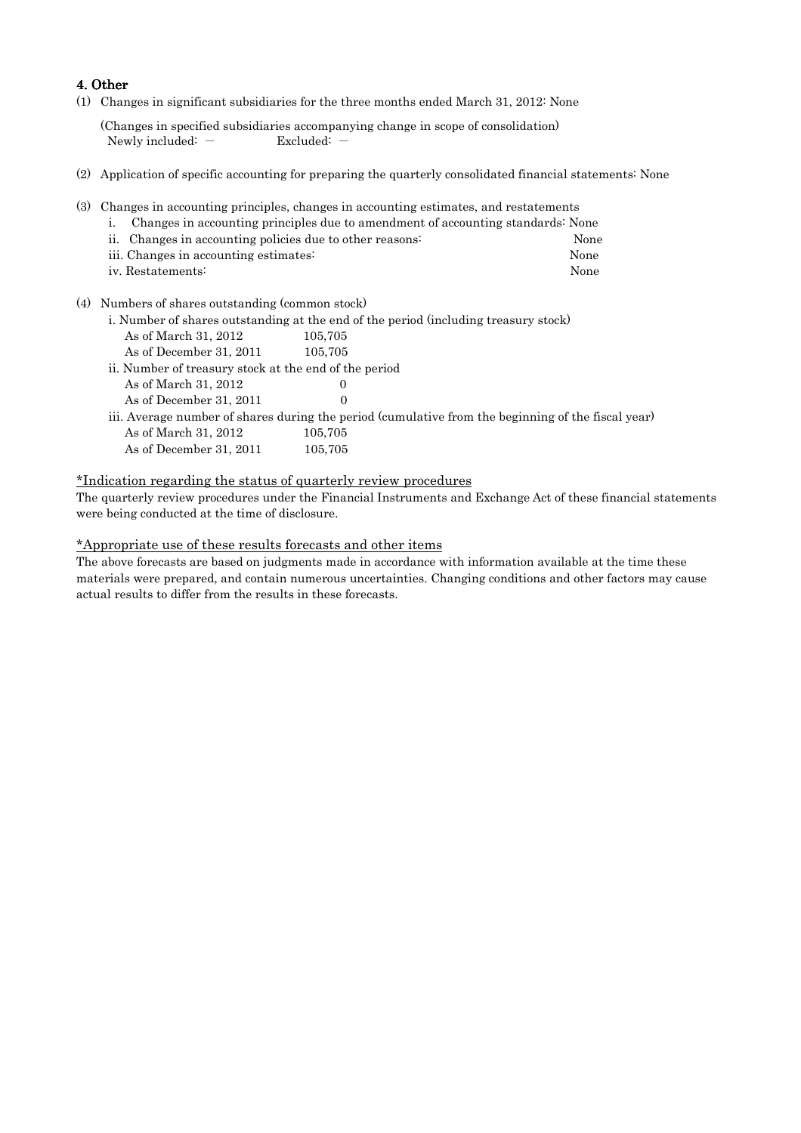### 4. Other

(1) Changes in significant subsidiaries for the three months ended March 31, 2012: None

(Changes in specified subsidiaries accompanying change in scope of consolidation) Newly included: - Excluded: -

- (2) Application of specific accounting for preparing the quarterly consolidated financial statements: None
- (3) Changes in accounting principles, changes in accounting estimates, and restatements
	- i. Changes in accounting principles due to amendment of accounting standards: None
	- ii. Changes in accounting policies due to other reasons: None iii. Changes in accounting estimates: None iv. Restatements: None
- (4) Numbers of shares outstanding (common stock)
	- i. Number of shares outstanding at the end of the period (including treasury stock)
	- As of March 31, 2012 105,705 As of December 31, 2011 105,705 ii. Number of treasury stock at the end of the period As of March 31, 2012 0 As of December 31, 2011 0 iii. Average number of shares during the period (cumulative from the beginning of the fiscal year) As of March 31, 2012 105,705 As of December 31, 2011 105,705

### \*Indication regarding the status of quarterly review procedures

The quarterly review procedures under the Financial Instruments and Exchange Act of these financial statements were being conducted at the time of disclosure.

### \*Appropriate use of these results forecasts and other items

The above forecasts are based on judgments made in accordance with information available at the time these materials were prepared, and contain numerous uncertainties. Changing conditions and other factors may cause actual results to differ from the results in these forecasts.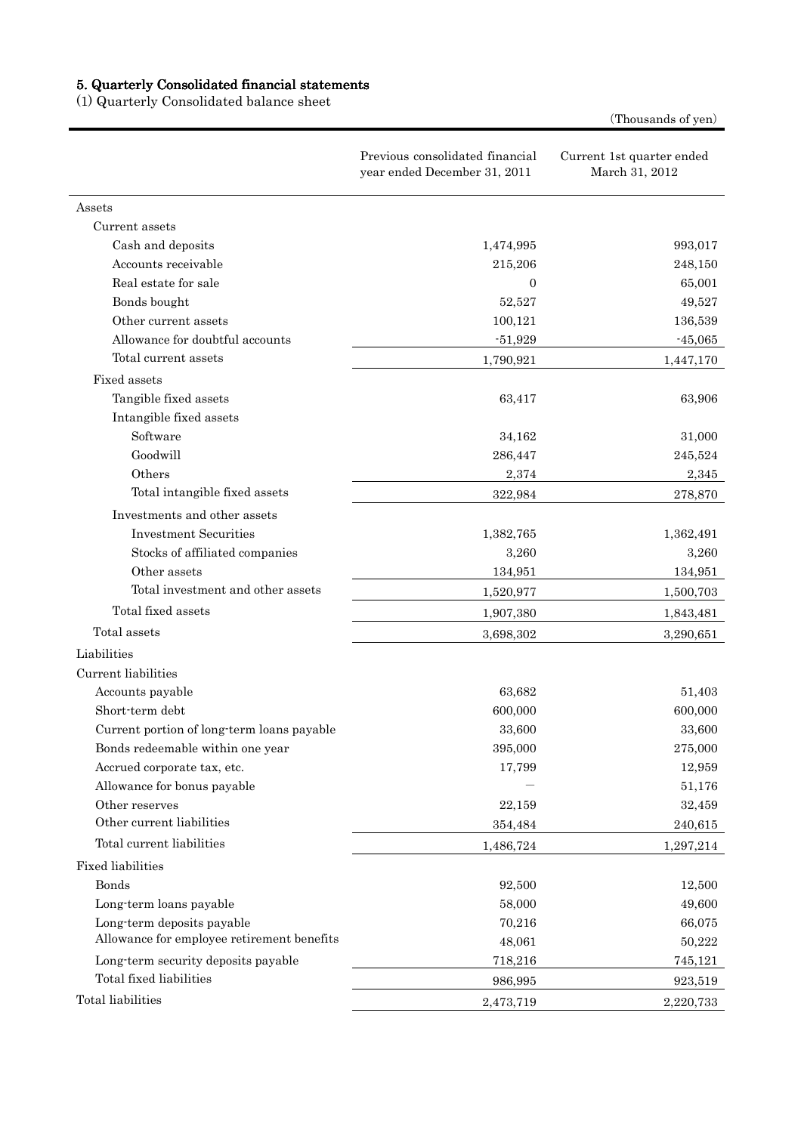#### 5. Quarterly Consolidated financial statements

(1) Quarterly Consolidated balance sheet

(Thousands of yen)

|                                            | Previous consolidated financial<br>year ended December 31, 2011 | Current 1st quarter ended<br>March 31, 2012 |
|--------------------------------------------|-----------------------------------------------------------------|---------------------------------------------|
| Assets                                     |                                                                 |                                             |
| Current assets                             |                                                                 |                                             |
| Cash and deposits                          | 1,474,995                                                       | 993,017                                     |
| Accounts receivable                        | 215,206                                                         | 248,150                                     |
| Real estate for sale                       | $\overline{0}$                                                  | 65,001                                      |
| Bonds bought                               | 52,527                                                          | 49,527                                      |
| Other current assets                       | 100,121                                                         | 136,539                                     |
| Allowance for doubtful accounts            | $-51,929$                                                       | $-45,065$                                   |
| Total current assets                       | 1,790,921                                                       | 1,447,170                                   |
| Fixed assets                               |                                                                 |                                             |
| Tangible fixed assets                      | 63,417                                                          | 63,906                                      |
| Intangible fixed assets                    |                                                                 |                                             |
| Software                                   | 34,162                                                          | 31,000                                      |
| Goodwill                                   | 286,447                                                         | 245,524                                     |
| Others                                     | 2,374                                                           | 2,345                                       |
| Total intangible fixed assets              | 322,984                                                         | 278,870                                     |
| Investments and other assets               |                                                                 |                                             |
| <b>Investment Securities</b>               | 1,382,765                                                       | 1,362,491                                   |
| Stocks of affiliated companies             | 3,260                                                           | 3,260                                       |
| Other assets                               | 134,951                                                         | 134,951                                     |
| Total investment and other assets          | 1,520,977                                                       | 1,500,703                                   |
| Total fixed assets                         | 1,907,380                                                       | 1,843,481                                   |
| Total assets                               | 3,698,302                                                       | 3,290,651                                   |
| Liabilities                                |                                                                 |                                             |
| Current liabilities                        |                                                                 |                                             |
| Accounts payable                           | 63,682                                                          | 51,403                                      |
| Short-term debt                            | 600,000                                                         | 600,000                                     |
| Current portion of long-term loans payable | 33,600                                                          | 33,600                                      |
| Bonds redeemable within one year           | 395,000                                                         | $275,\!000$                                 |
| Accrued corporate tax, etc.                | 17,799                                                          | 12,959                                      |
| Allowance for bonus payable                |                                                                 | 51,176                                      |
| Other reserves                             | 22,159                                                          | 32,459                                      |
| Other current liabilities                  | 354,484                                                         | 240,615                                     |
| Total current liabilities                  | 1,486,724                                                       | 1,297,214                                   |
| <b>Fixed liabilities</b>                   |                                                                 |                                             |
| Bonds                                      | 92,500                                                          | 12,500                                      |
| Long-term loans payable                    | 58,000                                                          | 49,600                                      |
| Long-term deposits payable                 | 70,216                                                          | 66,075                                      |
| Allowance for employee retirement benefits | 48,061                                                          | 50,222                                      |
| Long-term security deposits payable        | 718,216                                                         | 745,121                                     |
| Total fixed liabilities                    | 986,995                                                         | 923,519                                     |
| Total liabilities                          | 2,473,719                                                       | 2,220,733                                   |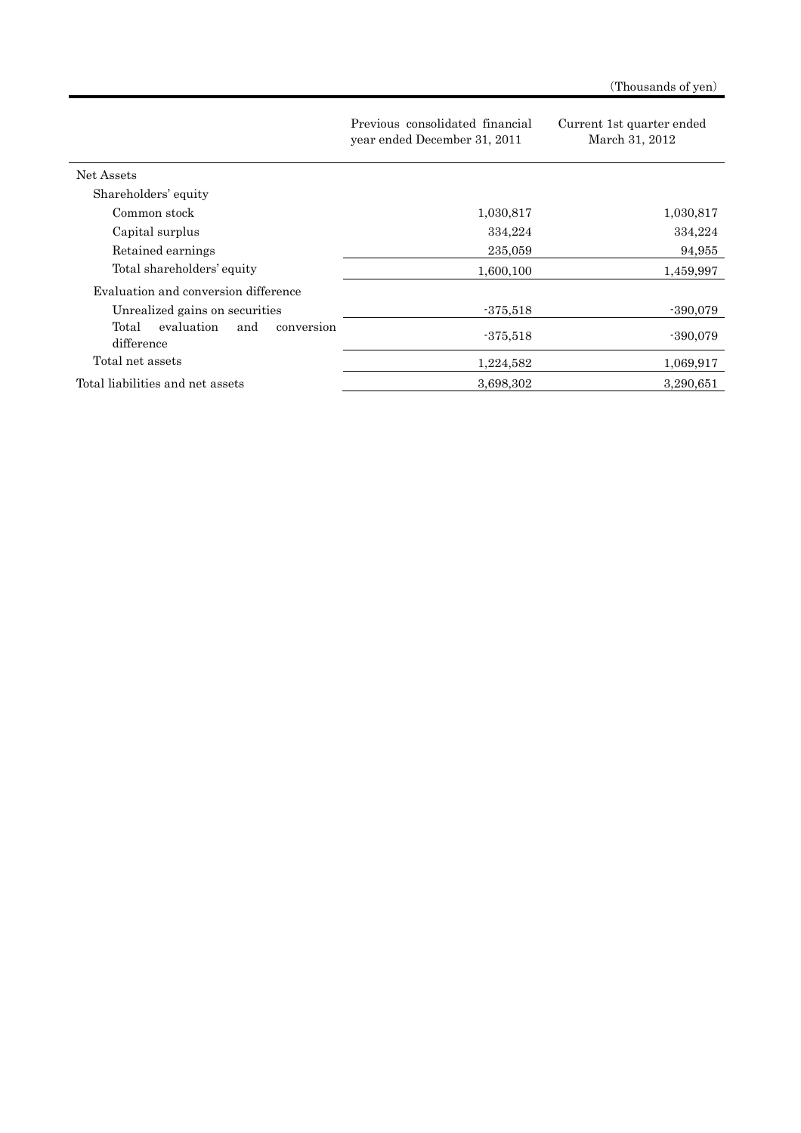|                                                        | Previous consolidated financial<br>year ended December 31, 2011 | Current 1st quarter ended<br>March 31, 2012 |
|--------------------------------------------------------|-----------------------------------------------------------------|---------------------------------------------|
| Net Assets                                             |                                                                 |                                             |
| Shareholders' equity                                   |                                                                 |                                             |
| Common stock                                           | 1,030,817                                                       | 1,030,817                                   |
| Capital surplus                                        | 334,224                                                         | 334,224                                     |
| Retained earnings                                      | 235,059                                                         | 94,955                                      |
| Total shareholders' equity                             | 1,600,100                                                       | 1,459,997                                   |
| Evaluation and conversion difference                   |                                                                 |                                             |
| Unrealized gains on securities                         | $-375,518$                                                      | $-390,079$                                  |
| Total<br>evaluation<br>and<br>conversion<br>difference | $-375,518$                                                      | $-390,079$                                  |
| Total net assets                                       | 1,224,582                                                       | 1,069,917                                   |
| Total liabilities and net assets                       | 3,698,302                                                       | 3,290,651                                   |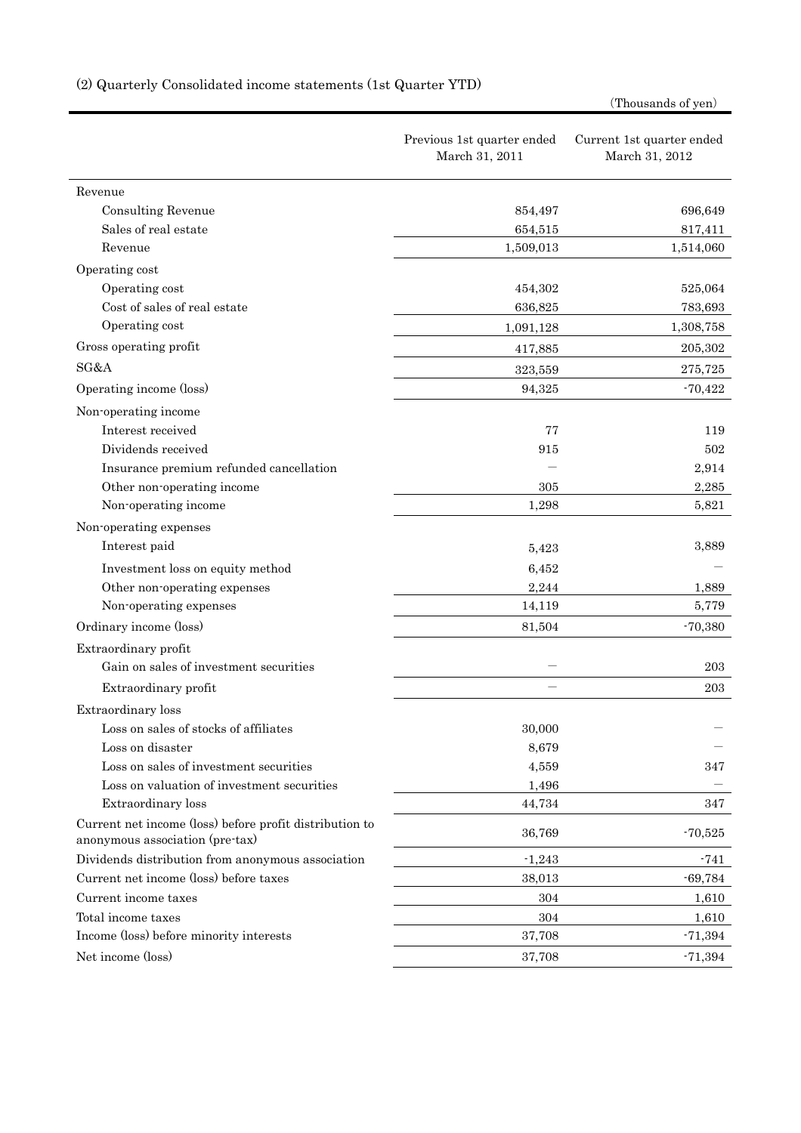|                                                                                            |                                              | (Thousanus of yen)                          |
|--------------------------------------------------------------------------------------------|----------------------------------------------|---------------------------------------------|
|                                                                                            | Previous 1st quarter ended<br>March 31, 2011 | Current 1st quarter ended<br>March 31, 2012 |
| Revenue                                                                                    |                                              |                                             |
| <b>Consulting Revenue</b>                                                                  | 854,497                                      | 696,649                                     |
| Sales of real estate                                                                       | 654,515                                      | 817,411                                     |
| Revenue                                                                                    | 1,509,013                                    | 1,514,060                                   |
| Operating cost                                                                             |                                              |                                             |
| Operating cost                                                                             | 454,302                                      | 525,064                                     |
| Cost of sales of real estate                                                               | 636,825                                      | 783,693                                     |
| Operating cost                                                                             | 1,091,128                                    | 1,308,758                                   |
| Gross operating profit                                                                     | 417,885                                      | 205,302                                     |
| SG&A                                                                                       | 323,559                                      | 275,725                                     |
| Operating income (loss)                                                                    | 94,325                                       | $-70,422$                                   |
| Non-operating income                                                                       |                                              |                                             |
| Interest received                                                                          | 77                                           | 119                                         |
| Dividends received                                                                         | 915                                          | 502                                         |
| Insurance premium refunded cancellation                                                    |                                              | 2,914                                       |
| Other non-operating income                                                                 | 305                                          | 2,285                                       |
| Non-operating income                                                                       | 1,298                                        | 5,821                                       |
| Non-operating expenses                                                                     |                                              |                                             |
| Interest paid                                                                              | 5,423                                        | 3,889                                       |
| Investment loss on equity method                                                           | 6,452                                        |                                             |
| Other non-operating expenses                                                               | 2,244                                        | 1,889                                       |
| Non-operating expenses                                                                     | 14,119                                       | 5,779                                       |
| Ordinary income (loss)                                                                     | 81,504                                       | $-70,380$                                   |
| Extraordinary profit                                                                       |                                              |                                             |
| Gain on sales of investment securities                                                     |                                              | 203                                         |
| Extraordinary profit                                                                       |                                              | 203                                         |
| Extraordinary loss                                                                         |                                              |                                             |
| Loss on sales of stocks of affiliates                                                      | 30,000                                       |                                             |
| Loss on disaster                                                                           | 8,679                                        |                                             |
| Loss on sales of investment securities                                                     | 4,559                                        | 347                                         |
| Loss on valuation of investment securities                                                 | 1,496                                        |                                             |
| Extraordinary loss                                                                         | 44,734                                       | 347                                         |
| Current net income (loss) before profit distribution to<br>anonymous association (pre-tax) | 36,769                                       | $-70,525$                                   |
| Dividends distribution from anonymous association                                          | $-1,243$                                     | $-741$                                      |
| Current net income (loss) before taxes                                                     | 38,013                                       | $-69,784$                                   |
| Current income taxes                                                                       | 304                                          | 1,610                                       |
| Total income taxes                                                                         | 304                                          | 1,610                                       |
| Income (loss) before minority interests                                                    | 37,708                                       | $-71,394$                                   |
| Net income (loss)                                                                          | 37,708                                       | $-71,394$                                   |

# (2) Quarterly Consolidated income statements (1st Quarter YTD)

(Thousands of yen)